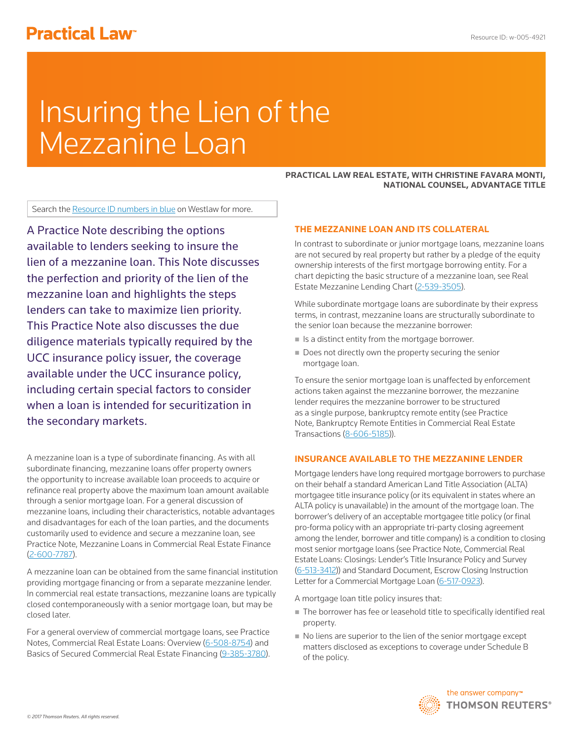# **Practical Law<sup>®</sup>**

# Insuring the Lien of the Mezzanine Loan

**PRACTICAL LAW REAL ESTATE, WITH CHRISTINE FAVARA MONTI, NATIONAL COUNSEL, ADVANTAGE TITLE**

Search the Resource ID numbers in blue on Westlaw for more.

A Practice Note describing the options available to lenders seeking to insure the lien of a mezzanine loan. This Note discusses the perfection and priority of the lien of the mezzanine loan and highlights the steps lenders can take to maximize lien priority. This Practice Note also discusses the due diligence materials typically required by the UCC insurance policy issuer, the coverage available under the UCC insurance policy, including certain special factors to consider when a loan is intended for securitization in the secondary markets.

A mezzanine loan is a type of subordinate financing. As with all subordinate financing, mezzanine loans offer property owners the opportunity to increase available loan proceeds to acquire or refinance real property above the maximum loan amount available through a senior mortgage loan. For a general discussion of mezzanine loans, including their characteristics, notable advantages and disadvantages for each of the loan parties, and the documents customarily used to evidence and secure a mezzanine loan, see Practice Note, Mezzanine Loans in Commercial Real Estate Finance (2-600-7787).

A mezzanine loan can be obtained from the same financial institution providing mortgage financing or from a separate mezzanine lender. In commercial real estate transactions, mezzanine loans are typically closed contemporaneously with a senior mortgage loan, but may be closed later.

For a general overview of commercial mortgage loans, see Practice Notes, Commercial Real Estate Loans: Overview (6-508-8754) and Basics of Secured Commercial Real Estate Financing (9-385-3780).

# **THE MEZZANINE LOAN AND ITS COLLATERAL**

In contrast to subordinate or junior mortgage loans, mezzanine loans are not secured by real property but rather by a pledge of the equity ownership interests of the first mortgage borrowing entity. For a chart depicting the basic structure of a mezzanine loan, see Real Estate Mezzanine Lending Chart (2-539-3505).

While subordinate mortgage loans are subordinate by their express terms, in contrast, mezzanine loans are structurally subordinate to the senior loan because the mezzanine borrower:

- Is a distinct entity from the mortgage borrower.
- Does not directly own the property securing the senior mortgage loan.

To ensure the senior mortgage loan is unaffected by enforcement actions taken against the mezzanine borrower, the mezzanine lender requires the mezzanine borrower to be structured as a single purpose, bankruptcy remote entity (see Practice Note, Bankruptcy Remote Entities in Commercial Real Estate Transactions (8-606-5185)).

# **INSURANCE AVAILABLE TO THE MEZZANINE LENDER**

Mortgage lenders have long required mortgage borrowers to purchase on their behalf a standard American Land Title Association (ALTA) mortgagee title insurance policy (or its equivalent in states where an ALTA policy is unavailable) in the amount of the mortgage loan. The borrower's delivery of an acceptable mortgagee title policy (or final pro-forma policy with an appropriate tri-party closing agreement among the lender, borrower and title company) is a condition to closing most senior mortgage loans (see Practice Note, Commercial Real Estate Loans: Closings: Lender's Title Insurance Policy and Survey (6-513-3412)) and Standard Document, Escrow Closing Instruction Letter for a Commercial Mortgage Loan (6-517-0923).

A mortgage loan title policy insures that:

- The borrower has fee or leasehold title to specifically identified real property.
- No liens are superior to the lien of the senior mortgage except matters disclosed as exceptions to coverage under Schedule B of the policy.

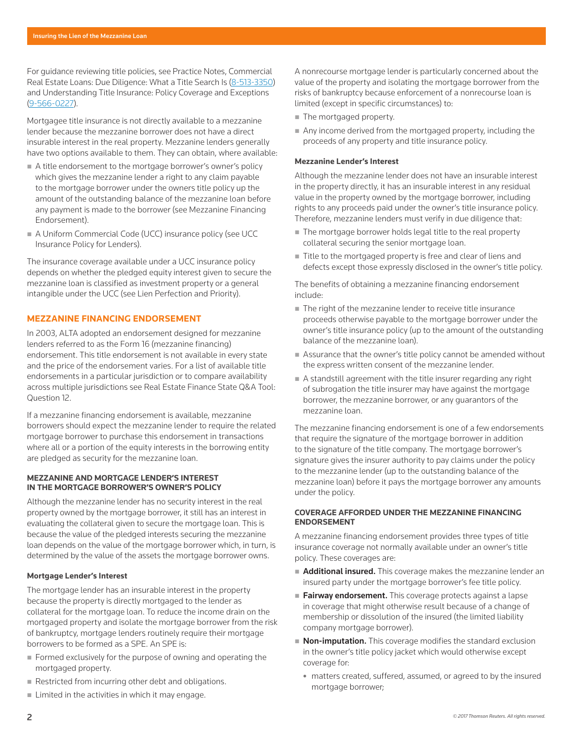For guidance reviewing title policies, see Practice Notes, Commercial Real Estate Loans: Due Diligence: What a Title Search Is (8-513-3350) and Understanding Title Insurance: Policy Coverage and Exceptions (9-566-0227).

Mortgagee title insurance is not directly available to a mezzanine lender because the mezzanine borrower does not have a direct insurable interest in the real property. Mezzanine lenders generally have two options available to them. They can obtain, where available:

- A title endorsement to the mortgage borrower's owner's policy which gives the mezzanine lender a right to any claim payable to the mortgage borrower under the owners title policy up the amount of the outstanding balance of the mezzanine loan before any payment is made to the borrower (see Mezzanine Financing Endorsement).
- A Uniform Commercial Code (UCC) insurance policy (see UCC Insurance Policy for Lenders).

The insurance coverage available under a UCC insurance policy depends on whether the pledged equity interest given to secure the mezzanine loan is classified as investment property or a general intangible under the UCC (see Lien Perfection and Priority).

# **MEZZANINE FINANCING ENDORSEMENT**

In 2003, ALTA adopted an endorsement designed for mezzanine lenders referred to as the Form 16 (mezzanine financing) endorsement. This title endorsement is not available in every state and the price of the endorsement varies. For a list of available title endorsements in a particular jurisdiction or to compare availability across multiple jurisdictions see Real Estate Finance State Q&A Tool: Question 12.

If a mezzanine financing endorsement is available, mezzanine borrowers should expect the mezzanine lender to require the related mortgage borrower to purchase this endorsement in transactions where all or a portion of the equity interests in the borrowing entity are pledged as security for the mezzanine loan.

# **MEZZANINE AND MORTGAGE LENDER'S INTEREST IN THE MORTGAGE BORROWER'S OWNER'S POLICY**

Although the mezzanine lender has no security interest in the real property owned by the mortgage borrower, it still has an interest in evaluating the collateral given to secure the mortgage loan. This is because the value of the pledged interests securing the mezzanine loan depends on the value of the mortgage borrower which, in turn, is determined by the value of the assets the mortgage borrower owns.

# **Mortgage Lender's Interest**

The mortgage lender has an insurable interest in the property because the property is directly mortgaged to the lender as collateral for the mortgage loan. To reduce the income drain on the mortgaged property and isolate the mortgage borrower from the risk of bankruptcy, mortgage lenders routinely require their mortgage borrowers to be formed as a SPE. An SPE is:

- Formed exclusively for the purpose of owning and operating the mortgaged property.
- Restricted from incurring other debt and obligations.
- **Limited in the activities in which it may engage.**

A nonrecourse mortgage lender is particularly concerned about the value of the property and isolating the mortgage borrower from the risks of bankruptcy because enforcement of a nonrecourse loan is limited (except in specific circumstances) to:

- The mortgaged property.
- Any income derived from the mortgaged property, including the proceeds of any property and title insurance policy.

#### **Mezzanine Lender's Interest**

Although the mezzanine lender does not have an insurable interest in the property directly, it has an insurable interest in any residual value in the property owned by the mortgage borrower, including rights to any proceeds paid under the owner's title insurance policy. Therefore, mezzanine lenders must verify in due diligence that:

- The mortgage borrower holds legal title to the real property collateral securing the senior mortgage loan.
- Title to the mortgaged property is free and clear of liens and defects except those expressly disclosed in the owner's title policy.

The benefits of obtaining a mezzanine financing endorsement include:

- The right of the mezzanine lender to receive title insurance proceeds otherwise payable to the mortgage borrower under the owner's title insurance policy (up to the amount of the outstanding balance of the mezzanine loan).
- Assurance that the owner's title policy cannot be amended without the express written consent of the mezzanine lender.
- A standstill agreement with the title insurer regarding any right of subrogation the title insurer may have against the mortgage borrower, the mezzanine borrower, or any guarantors of the mezzanine loan.

The mezzanine financing endorsement is one of a few endorsements that require the signature of the mortgage borrower in addition to the signature of the title company. The mortgage borrower's signature gives the insurer authority to pay claims under the policy to the mezzanine lender (up to the outstanding balance of the mezzanine loan) before it pays the mortgage borrower any amounts under the policy.

#### **COVERAGE AFFORDED UNDER THE MEZZANINE FINANCING ENDORSEMENT**

A mezzanine financing endorsement provides three types of title insurance coverage not normally available under an owner's title policy. These coverages are:

- **Additional insured.** This coverage makes the mezzanine lender an insured party under the mortgage borrower's fee title policy.
- Fairway endorsement. This coverage protects against a lapse in coverage that might otherwise result because of a change of membership or dissolution of the insured (the limited liability company mortgage borrower).
- $\blacksquare$  **Non-imputation.** This coverage modifies the standard exclusion in the owner's title policy jacket which would otherwise except coverage for:
	- matters created, suffered, assumed, or agreed to by the insured mortgage borrower;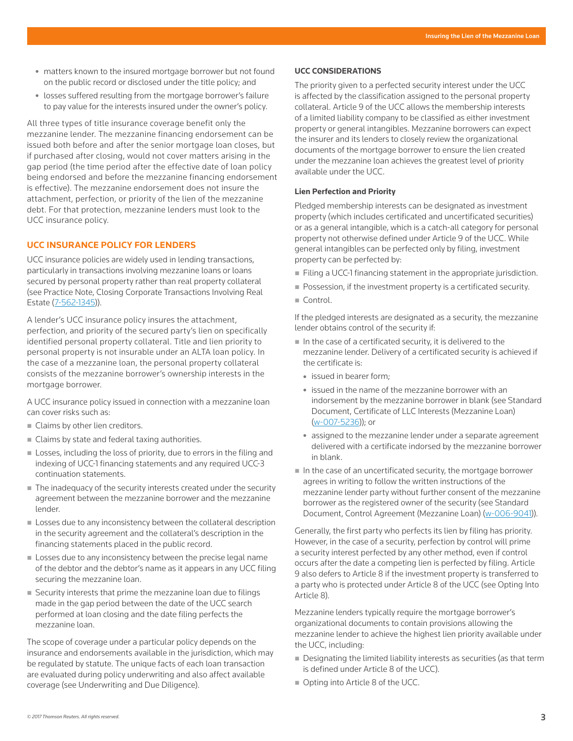- matters known to the insured mortgage borrower but not found on the public record or disclosed under the title policy; and
- losses suffered resulting from the mortgage borrower's failure to pay value for the interests insured under the owner's policy.

All three types of title insurance coverage benefit only the mezzanine lender. The mezzanine financing endorsement can be issued both before and after the senior mortgage loan closes, but if purchased after closing, would not cover matters arising in the gap period (the time period after the effective date of loan policy being endorsed and before the mezzanine financing endorsement is effective). The mezzanine endorsement does not insure the attachment, perfection, or priority of the lien of the mezzanine debt. For that protection, mezzanine lenders must look to the UCC insurance policy.

#### **UCC INSURANCE POLICY FOR LENDERS**

UCC insurance policies are widely used in lending transactions, particularly in transactions involving mezzanine loans or loans secured by personal property rather than real property collateral (see Practice Note, Closing Corporate Transactions Involving Real Estate (7-562-1345)).

A lender's UCC insurance policy insures the attachment, perfection, and priority of the secured party's lien on specifically identified personal property collateral. Title and lien priority to personal property is not insurable under an ALTA loan policy. In the case of a mezzanine loan, the personal property collateral consists of the mezzanine borrower's ownership interests in the mortgage borrower.

A UCC insurance policy issued in connection with a mezzanine loan can cover risks such as:

- Claims by other lien creditors.
- Claims by state and federal taxing authorities.
- **Losses, including the loss of priority, due to errors in the filing and** indexing of UCC-1 financing statements and any required UCC-3 continuation statements.
- The inadequacy of the security interests created under the security agreement between the mezzanine borrower and the mezzanine lender.
- **Losses due to any inconsistency between the collateral description** in the security agreement and the collateral's description in the financing statements placed in the public record.
- **Losses due to any inconsistency between the precise legal name** of the debtor and the debtor's name as it appears in any UCC filing securing the mezzanine loan.
- Security interests that prime the mezzanine loan due to filings made in the gap period between the date of the UCC search performed at loan closing and the date filing perfects the mezzanine loan.

The scope of coverage under a particular policy depends on the insurance and endorsements available in the jurisdiction, which may be regulated by statute. The unique facts of each loan transaction are evaluated during policy underwriting and also affect available coverage (see Underwriting and Due Diligence).

#### **UCC CONSIDERATIONS**

The priority given to a perfected security interest under the UCC is affected by the classification assigned to the personal property collateral. Article 9 of the UCC allows the membership interests of a limited liability company to be classified as either investment property or general intangibles. Mezzanine borrowers can expect the insurer and its lenders to closely review the organizational documents of the mortgage borrower to ensure the lien created under the mezzanine loan achieves the greatest level of priority available under the UCC.

#### **Lien Perfection and Priority**

Pledged membership interests can be designated as investment property (which includes certificated and uncertificated securities) or as a general intangible, which is a catch-all category for personal property not otherwise defined under Article 9 of the UCC. While general intangibles can be perfected only by filing, investment property can be perfected by:

- Filing a UCC-1 financing statement in the appropriate jurisdiction.
- **Possession, if the investment property is a certificated security.**
- Control.

If the pledged interests are designated as a security, the mezzanine lender obtains control of the security if:

- $\blacksquare$  In the case of a certificated security, it is delivered to the mezzanine lender. Delivery of a certificated security is achieved if the certificate is:
	- issued in bearer form;
	- issued in the name of the mezzanine borrower with an indorsement by the mezzanine borrower in blank (see Standard Document, Certificate of LLC Interests (Mezzanine Loan) (w-007-5236)); or
	- assigned to the mezzanine lender under a separate agreement delivered with a certificate indorsed by the mezzanine borrower in blank.
- $\blacksquare$  In the case of an uncertificated security, the mortgage borrower agrees in writing to follow the written instructions of the mezzanine lender party without further consent of the mezzanine borrower as the registered owner of the security (see Standard Document, Control Agreement (Mezzanine Loan) (w-006-9041)).

Generally, the first party who perfects its lien by filing has priority. However, in the case of a security, perfection by control will prime a security interest perfected by any other method, even if control occurs after the date a competing lien is perfected by filing. Article 9 also defers to Article 8 if the investment property is transferred to a party who is protected under Article 8 of the UCC (see Opting Into Article 8).

Mezzanine lenders typically require the mortgage borrower's organizational documents to contain provisions allowing the mezzanine lender to achieve the highest lien priority available under the UCC, including:

- Designating the limited liability interests as securities (as that term is defined under Article 8 of the UCC).
- Opting into Article 8 of the UCC.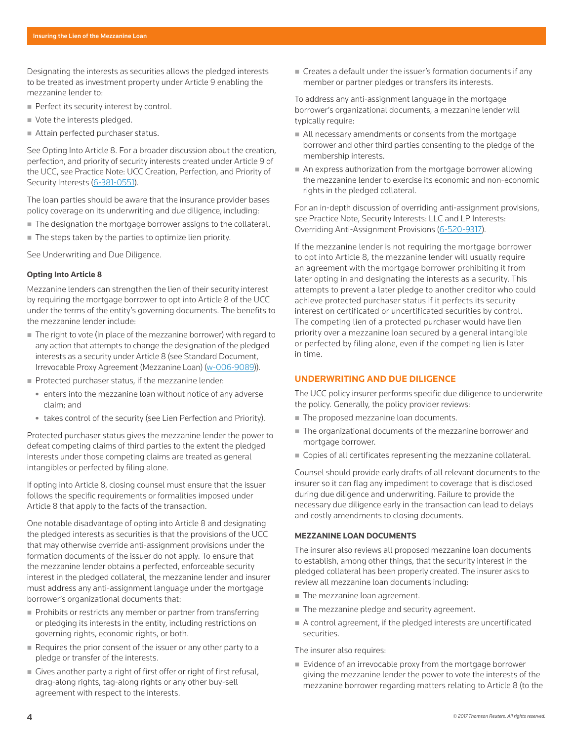Designating the interests as securities allows the pledged interests to be treated as investment property under Article 9 enabling the mezzanine lender to:

- Perfect its security interest by control.
- Vote the interests pledged.
- Attain perfected purchaser status.

See Opting Into Article 8. For a broader discussion about the creation, perfection, and priority of security interests created under Article 9 of the UCC, see Practice Note: UCC Creation, Perfection, and Priority of Security Interests (6-381-0551).

The loan parties should be aware that the insurance provider bases policy coverage on its underwriting and due diligence, including:

- The designation the mortgage borrower assigns to the collateral.
- The steps taken by the parties to optimize lien priority.

See Underwriting and Due Diligence.

#### **Opting Into Article 8**

Mezzanine lenders can strengthen the lien of their security interest by requiring the mortgage borrower to opt into Article 8 of the UCC under the terms of the entity's governing documents. The benefits to the mezzanine lender include:

- The right to vote (in place of the mezzanine borrower) with regard to any action that attempts to change the designation of the pledged interests as a security under Article 8 (see Standard Document, Irrevocable Proxy Agreement (Mezzanine Loan) (w-006-9089)).
- Protected purchaser status, if the mezzanine lender:
	- enters into the mezzanine loan without notice of any adverse claim; and
	- takes control of the security (see Lien Perfection and Priority).

Protected purchaser status gives the mezzanine lender the power to defeat competing claims of third parties to the extent the pledged interests under those competing claims are treated as general intangibles or perfected by filing alone.

If opting into Article 8, closing counsel must ensure that the issuer follows the specific requirements or formalities imposed under Article 8 that apply to the facts of the transaction.

One notable disadvantage of opting into Article 8 and designating the pledged interests as securities is that the provisions of the UCC that may otherwise override anti-assignment provisions under the formation documents of the issuer do not apply. To ensure that the mezzanine lender obtains a perfected, enforceable security interest in the pledged collateral, the mezzanine lender and insurer must address any anti-assignment language under the mortgage borrower's organizational documents that:

- Prohibits or restricts any member or partner from transferring or pledging its interests in the entity, including restrictions on governing rights, economic rights, or both.
- Requires the prior consent of the issuer or any other party to a pledge or transfer of the interests.
- Gives another party a right of first offer or right of first refusal, drag-along rights, tag-along rights or any other buy-sell agreement with respect to the interests.

■ Creates a default under the issuer's formation documents if any member or partner pledges or transfers its interests.

To address any anti-assignment language in the mortgage borrower's organizational documents, a mezzanine lender will typically require:

- All necessary amendments or consents from the mortgage borrower and other third parties consenting to the pledge of the membership interests.
- An express authorization from the mortgage borrower allowing the mezzanine lender to exercise its economic and non-economic rights in the pledged collateral.

For an in-depth discussion of overriding anti-assignment provisions, see Practice Note, Security Interests: LLC and LP Interests: Overriding Anti-Assignment Provisions (6-520-9317).

If the mezzanine lender is not requiring the mortgage borrower to opt into Article 8, the mezzanine lender will usually require an agreement with the mortgage borrower prohibiting it from later opting in and designating the interests as a security. This attempts to prevent a later pledge to another creditor who could achieve protected purchaser status if it perfects its security interest on certificated or uncertificated securities by control. The competing lien of a protected purchaser would have lien priority over a mezzanine loan secured by a general intangible or perfected by filing alone, even if the competing lien is later in time.

# **UNDERWRITING AND DUE DILIGENCE**

The UCC policy insurer performs specific due diligence to underwrite the policy. Generally, the policy provider reviews:

- The proposed mezzanine loan documents.
- The organizational documents of the mezzanine borrower and mortgage borrower.
- Copies of all certificates representing the mezzanine collateral.

Counsel should provide early drafts of all relevant documents to the insurer so it can flag any impediment to coverage that is disclosed during due diligence and underwriting. Failure to provide the necessary due diligence early in the transaction can lead to delays and costly amendments to closing documents.

#### **MEZZANINE LOAN DOCUMENTS**

The insurer also reviews all proposed mezzanine loan documents to establish, among other things, that the security interest in the pledged collateral has been properly created. The insurer asks to review all mezzanine loan documents including:

- The mezzanine loan agreement.
- $\blacksquare$  The mezzanine pledge and security agreement.
- A control agreement, if the pledged interests are uncertificated securities.

#### The insurer also requires:

 Evidence of an irrevocable proxy from the mortgage borrower giving the mezzanine lender the power to vote the interests of the mezzanine borrower regarding matters relating to Article 8 (to the